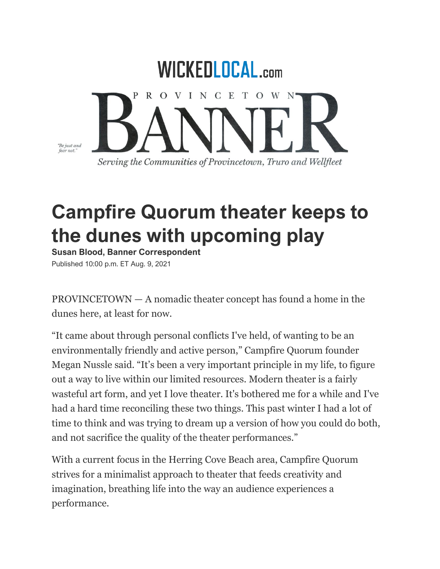

## **Campfire Quorum theater keeps to the dunes with upcoming play**

**Susan Blood, Banner Correspondent** Published 10:00 p.m. ET Aug. 9, 2021

PROVINCETOWN — A nomadic theater concept has found a home in the dunes here, at least for now.

"It came about through personal conflicts I've held, of wanting to be an environmentally friendly and active person," Campfire Quorum founder Megan Nussle said. "It's been a very important principle in my life, to figure out a way to live within our limited resources. Modern theater is a fairly wasteful art form, and yet I love theater. It's bothered me for a while and I've had a hard time reconciling these two things. This past winter I had a lot of time to think and was trying to dream up a version of how you could do both, and not sacrifice the quality of the theater performances."

With a current focus in the Herring Cove Beach area, Campfire Quorum strives for a minimalist approach to theater that feeds creativity and imagination, breathing life into the way an audience experiences a performance.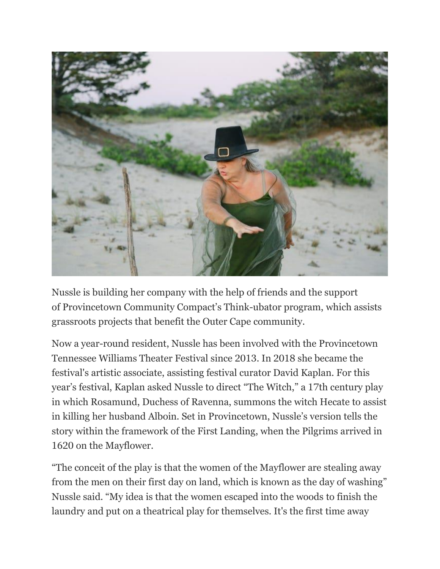

Nussle is building her company with the help of friends and the support of Provincetown Community Compact's Think-ubator program, which assists grassroots projects that benefit the Outer Cape community.

Now a year-round resident, Nussle has been involved with the Provincetown Tennessee Williams Theater Festival since 2013. In 2018 she became the festival's artistic associate, assisting festival curator David Kaplan. For this year's festival, Kaplan asked Nussle to direct "The Witch," a 17th century play in which Rosamund, Duchess of Ravenna, summons the witch Hecate to assist in killing her husband Alboin. Set in Provincetown, Nussle's version tells the story within the framework of the First Landing, when the Pilgrims arrived in 1620 on the Mayflower.

"The conceit of the play is that the women of the Mayflower are stealing away from the men on their first day on land, which is known as the day of washing" Nussle said. "My idea is that the women escaped into the woods to finish the laundry and put on a theatrical play for themselves. It's the first time away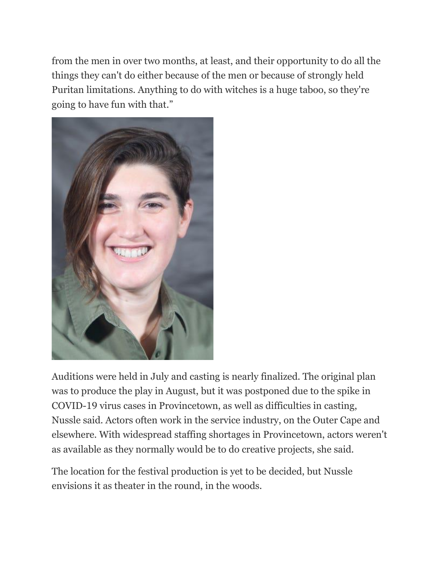from the men in over two months, at least, and their opportunity to do all the things they can't do either because of the men or because of strongly held Puritan limitations. Anything to do with witches is a huge taboo, so they're going to have fun with that."



Auditions were held in July and casting is nearly finalized. The original plan was to produce the play in August, but it was postponed due to the spike in COVID-19 virus cases in Provincetown, as well as difficulties in casting, Nussle said. Actors often work in the service industry, on the Outer Cape and elsewhere. With widespread staffing shortages in Provincetown, actors weren't as available as they normally would be to do creative projects, she said.

The location for the festival production is yet to be decided, but Nussle envisions it as theater in the round, in the woods.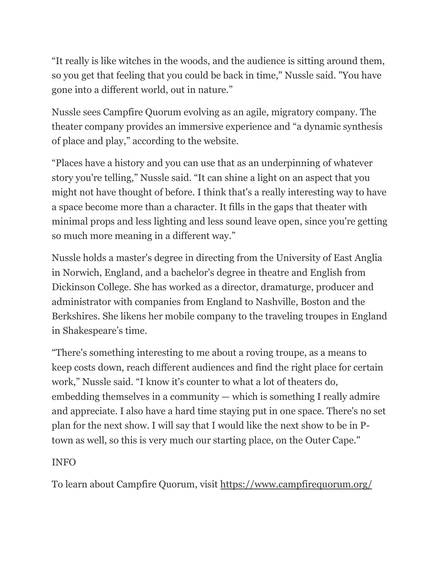"It really is like witches in the woods, and the audience is sitting around them, so you get that feeling that you could be back in time," Nussle said. "You have gone into a different world, out in nature."

Nussle sees Campfire Quorum evolving as an agile, migratory company. The theater company provides an immersive experience and "a dynamic synthesis of place and play," according to the website.

"Places have a history and you can use that as an underpinning of whatever story you're telling," Nussle said. "It can shine a light on an aspect that you might not have thought of before. I think that's a really interesting way to have a space become more than a character. It fills in the gaps that theater with minimal props and less lighting and less sound leave open, since you're getting so much more meaning in a different way."

Nussle holds a master's degree in directing from the University of East Anglia in Norwich, England, and a bachelor's degree in theatre and English from Dickinson College. She has worked as a director, dramaturge, producer and administrator with companies from England to Nashville, Boston and the Berkshires. She likens her mobile company to the traveling troupes in England in Shakespeare's time.

"There's something interesting to me about a roving troupe, as a means to keep costs down, reach different audiences and find the right place for certain work," Nussle said. "I know it's counter to what a lot of theaters do, embedding themselves in a community — which is something I really admire and appreciate. I also have a hard time staying put in one space. There's no set plan for the next show. I will say that I would like the next show to be in Ptown as well, so this is very much our starting place, on the Outer Cape."

## INFO

To learn about Campfire Quorum, visit <https://www.campfirequorum.org/>